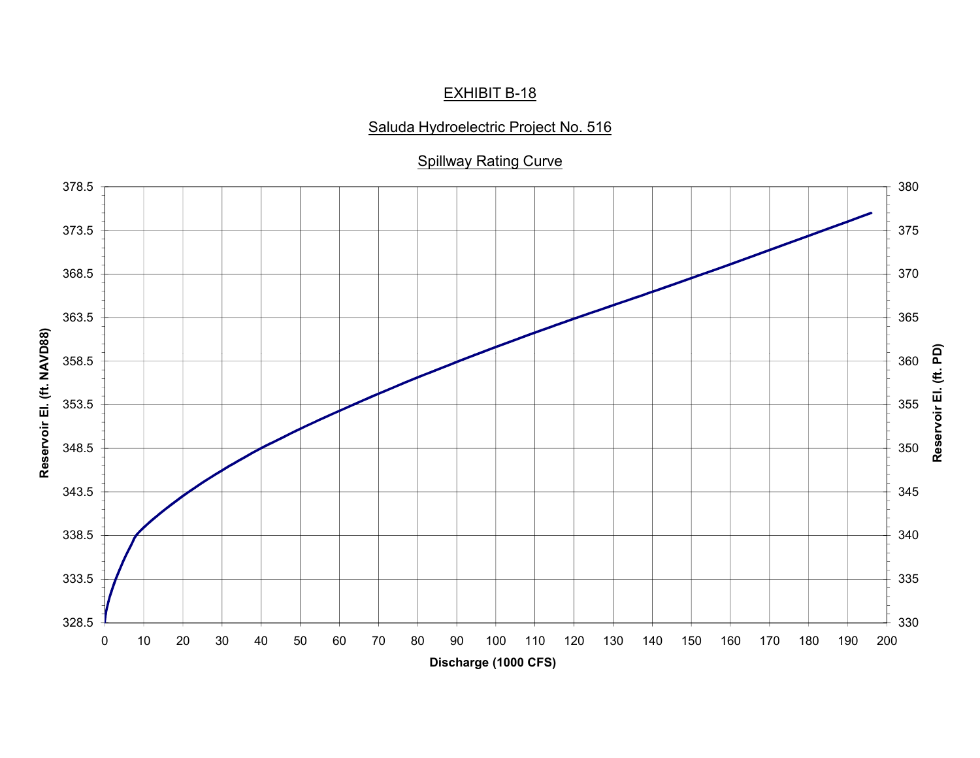# Saluda Hydroelectric Project No. 516

# Spillway Rating Curve

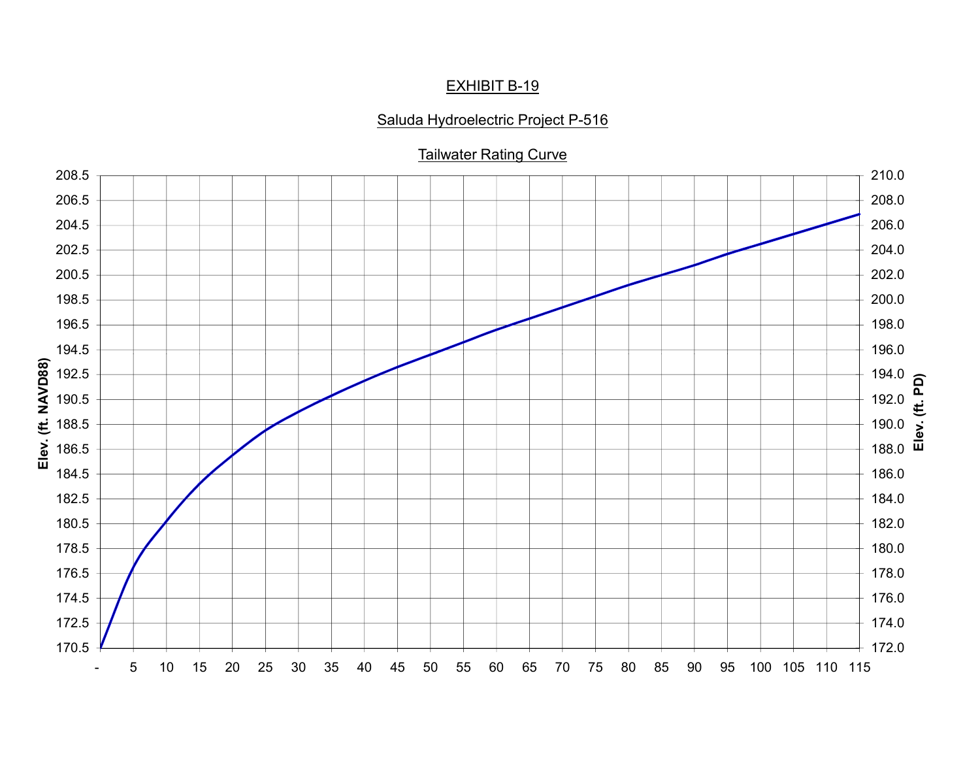## Saluda Hydroelectric Project P-516

Tailwater Rating Curve

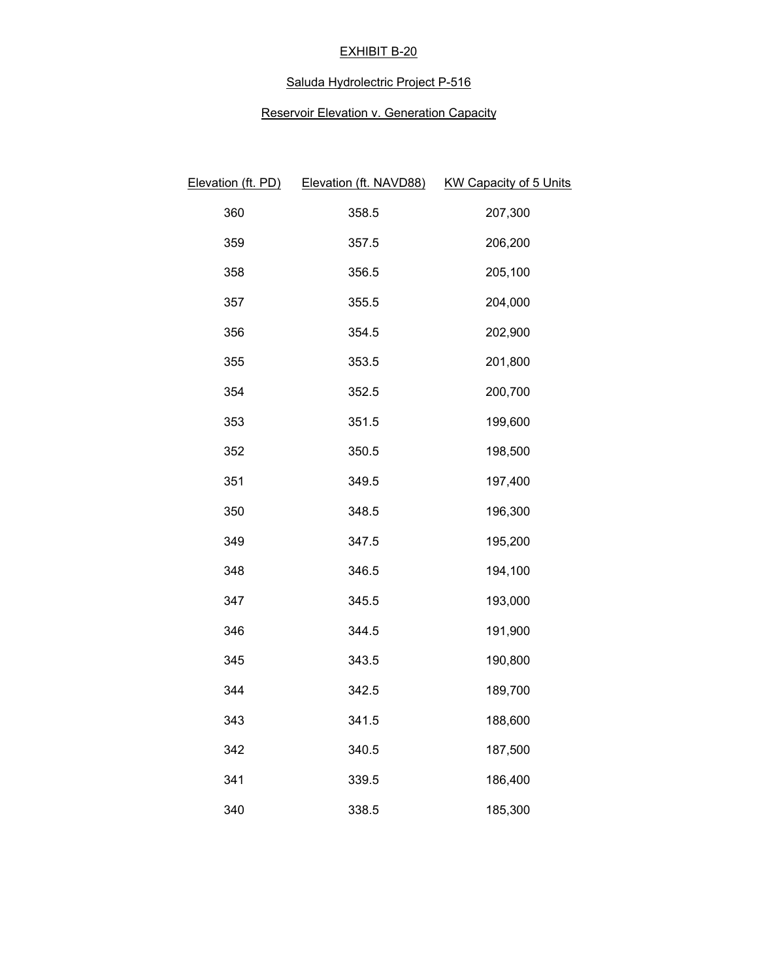#### Saluda Hydrolectric Project P-516

# **Reservoir Elevation v. Generation Capacity**

| Elevation (ft. PD) | Elevation (ft. NAVD88) | <b>KW Capacity of 5 Units</b> |
|--------------------|------------------------|-------------------------------|
| 360                | 358.5                  | 207,300                       |
| 359                | 357.5                  | 206,200                       |
| 358                | 356.5                  | 205,100                       |
| 357                | 355.5                  | 204,000                       |
| 356                | 354.5                  | 202,900                       |
| 355                | 353.5                  | 201,800                       |
| 354                | 352.5                  | 200,700                       |
| 353                | 351.5                  | 199,600                       |
| 352                | 350.5                  | 198,500                       |
| 351                | 349.5                  | 197,400                       |
| 350                | 348.5                  | 196,300                       |
| 349                | 347.5                  | 195,200                       |
| 348                | 346.5                  | 194,100                       |
| 347                | 345.5                  | 193,000                       |
| 346                | 344.5                  | 191,900                       |
| 345                | 343.5                  | 190,800                       |
| 344                | 342.5                  | 189,700                       |
| 343                | 341.5                  | 188,600                       |
| 342                | 340.5                  | 187,500                       |
| 341                | 339.5                  | 186,400                       |
| 340                | 338.5                  | 185,300                       |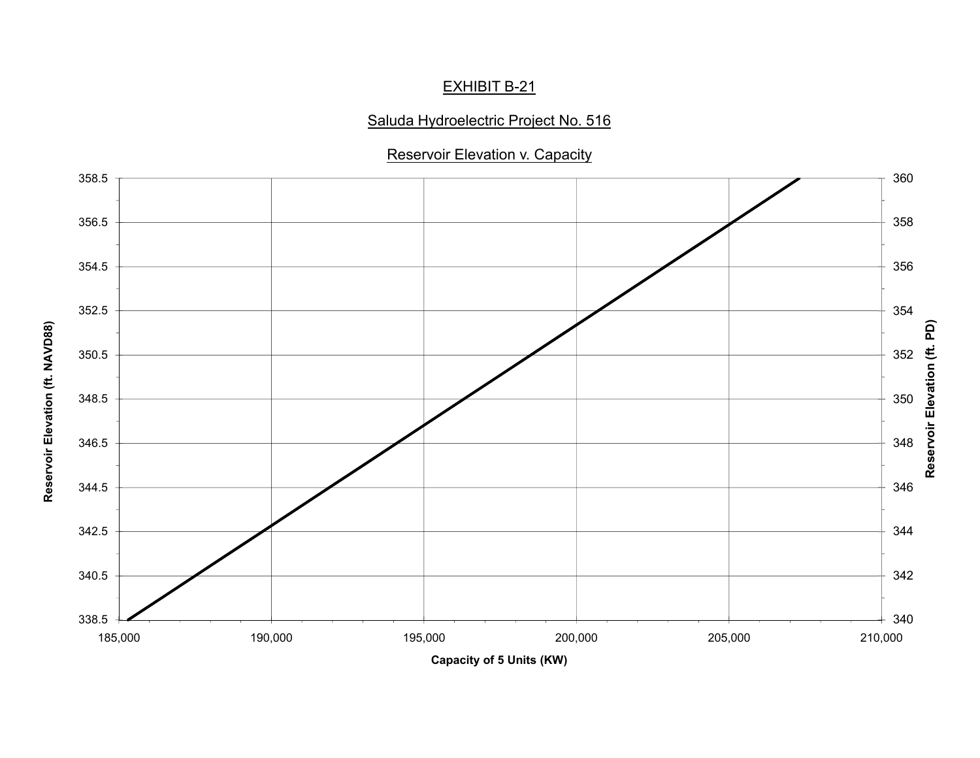# Saluda Hydroelectric Project No. 516

# Reservoir Elevation v. Capacity



Reservoir Elevation (ft. NAVD88)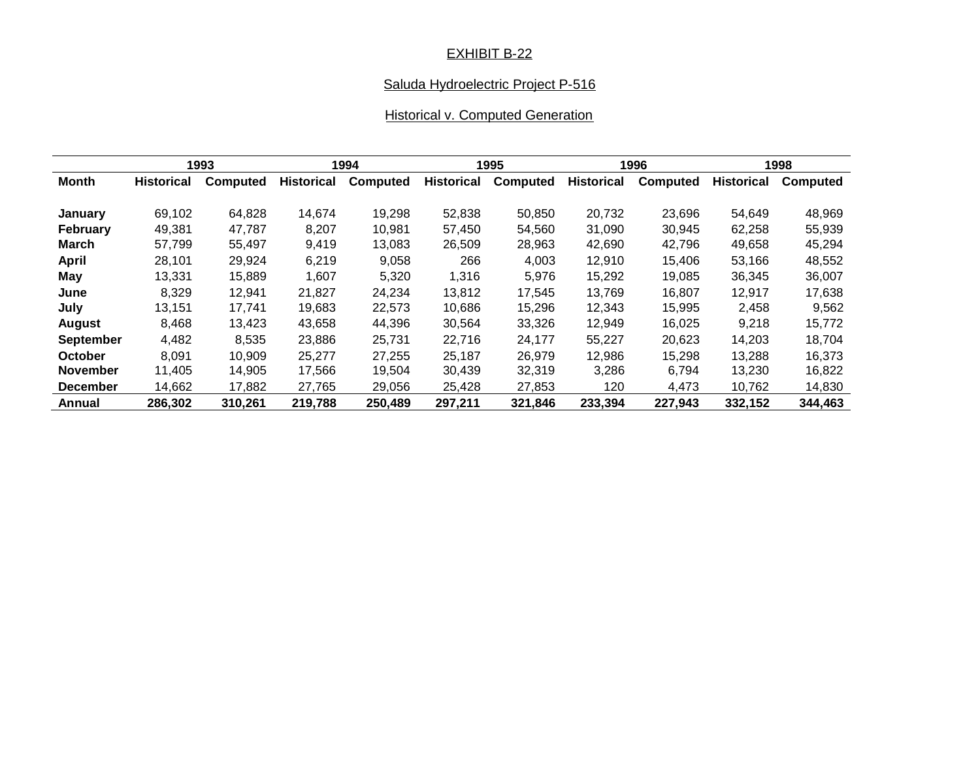#### Saluda Hydroelectric Project P-516

### **Historical v. Computed Generation**

|                  | 1993              |                 | 1994              |                 | 1995              |          | 1996              |                 | 1998              |          |
|------------------|-------------------|-----------------|-------------------|-----------------|-------------------|----------|-------------------|-----------------|-------------------|----------|
| Month            | <b>Historical</b> | <b>Computed</b> | <b>Historical</b> | <b>Computed</b> | <b>Historical</b> | Computed | <b>Historical</b> | <b>Computed</b> | <b>Historical</b> | Computed |
| <b>January</b>   | 69,102            | 64,828          | 14,674            | 19,298          | 52,838            | 50,850   | 20,732            | 23,696          | 54,649            | 48,969   |
| <b>February</b>  | 49,381            | 47,787          | 8,207             | 10,981          | 57,450            | 54,560   | 31,090            | 30,945          | 62,258            | 55,939   |
| March            | 57,799            | 55,497          | 9,419             | 13,083          | 26,509            | 28,963   | 42,690            | 42,796          | 49,658            | 45,294   |
| <b>April</b>     | 28,101            | 29,924          | 6,219             | 9,058           | 266               | 4,003    | 12,910            | 15,406          | 53,166            | 48,552   |
| May              | 13,331            | 15,889          | 1,607             | 5,320           | 1,316             | 5,976    | 15,292            | 19,085          | 36,345            | 36,007   |
| June             | 8,329             | 12,941          | 21,827            | 24.234          | 13,812            | 17,545   | 13,769            | 16,807          | 12,917            | 17.638   |
| July             | 13.151            | 17.741          | 19,683            | 22,573          | 10,686            | 15.296   | 12,343            | 15,995          | 2,458             | 9,562    |
| <b>August</b>    | 8,468             | 13,423          | 43,658            | 44,396          | 30,564            | 33,326   | 12,949            | 16,025          | 9,218             | 15,772   |
| <b>September</b> | 4,482             | 8,535           | 23,886            | 25,731          | 22,716            | 24,177   | 55,227            | 20,623          | 14,203            | 18,704   |
| October          | 8.091             | 10.909          | 25.277            | 27.255          | 25,187            | 26.979   | 12,986            | 15,298          | 13.288            | 16,373   |
| <b>November</b>  | 11,405            | 14.905          | 17,566            | 19,504          | 30,439            | 32,319   | 3,286             | 6,794           | 13,230            | 16,822   |
| <b>December</b>  | 14,662            | 17,882          | 27,765            | 29,056          | 25,428            | 27,853   | 120               | 4,473           | 10,762            | 14,830   |
| Annual           | 286,302           | 310,261         | 219,788           | 250,489         | 297,211           | 321,846  | 233,394           | 227,943         | 332,152           | 344,463  |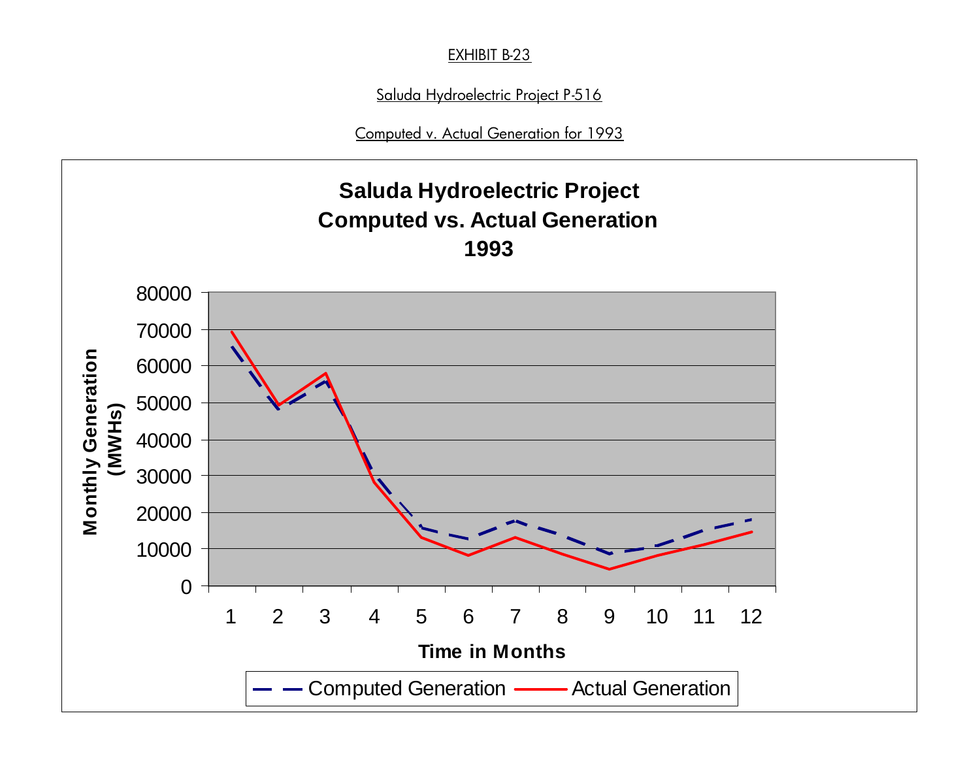Saluda Hydroelectric Project P-516

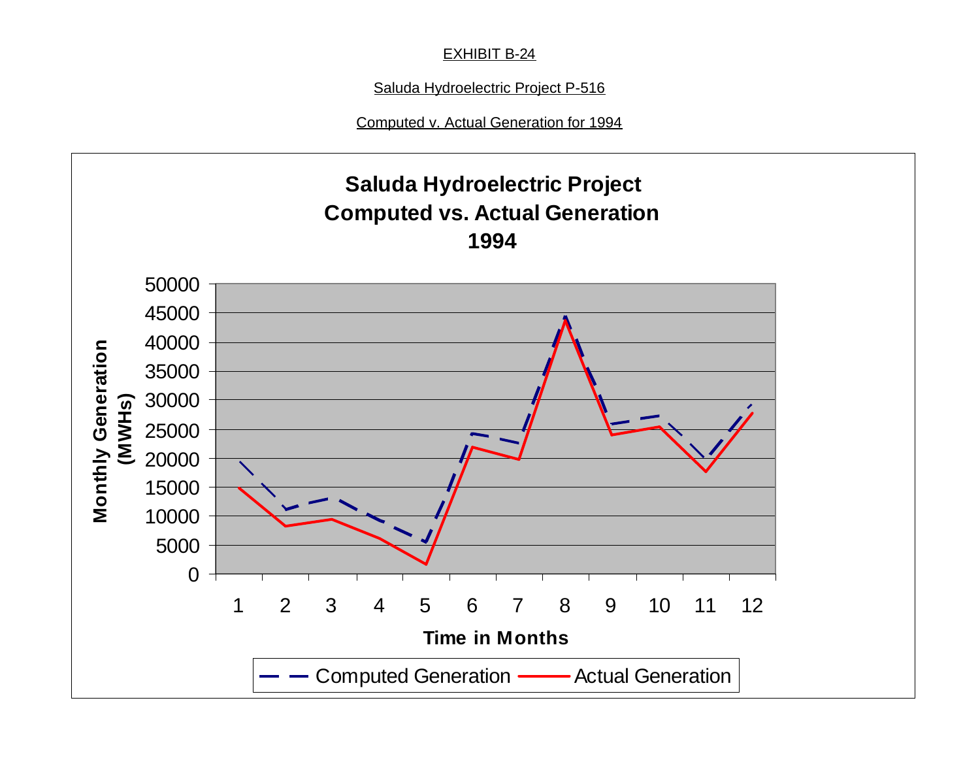Saluda Hydroelectric Project P-516

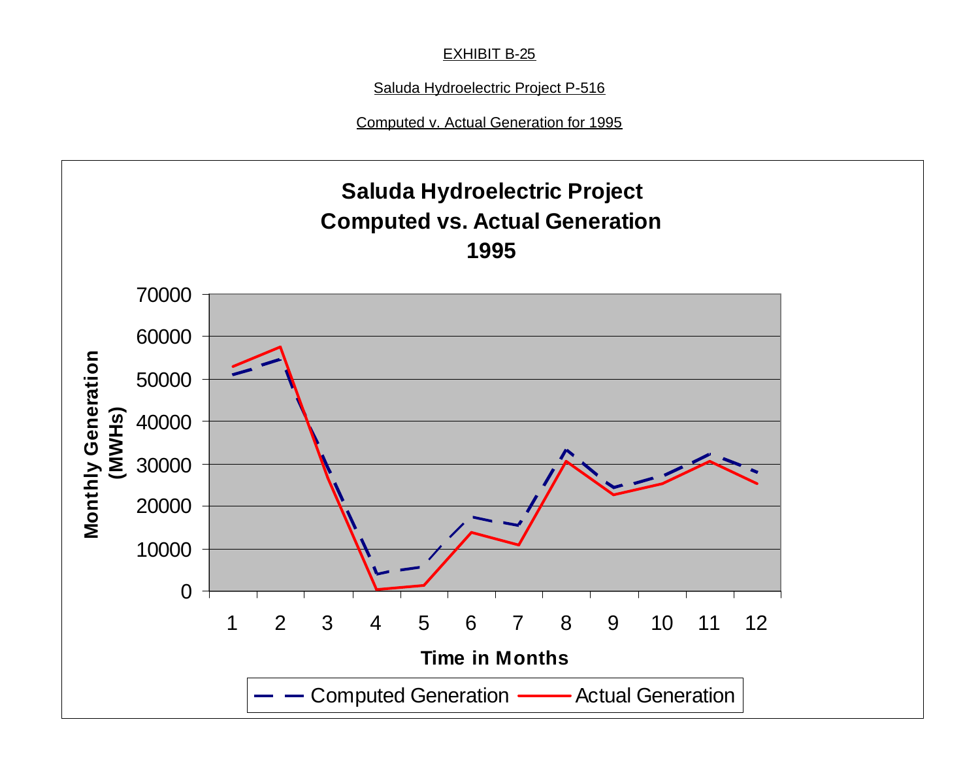Saluda Hydroelectric Project P-516

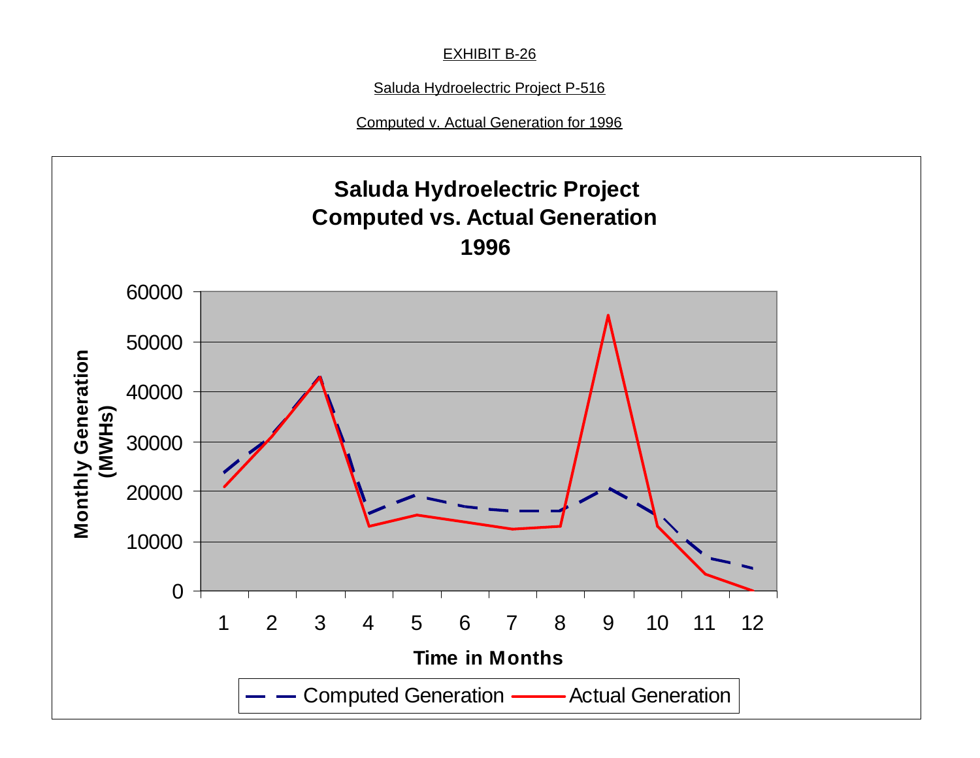Saluda Hydroelectric Project P-516

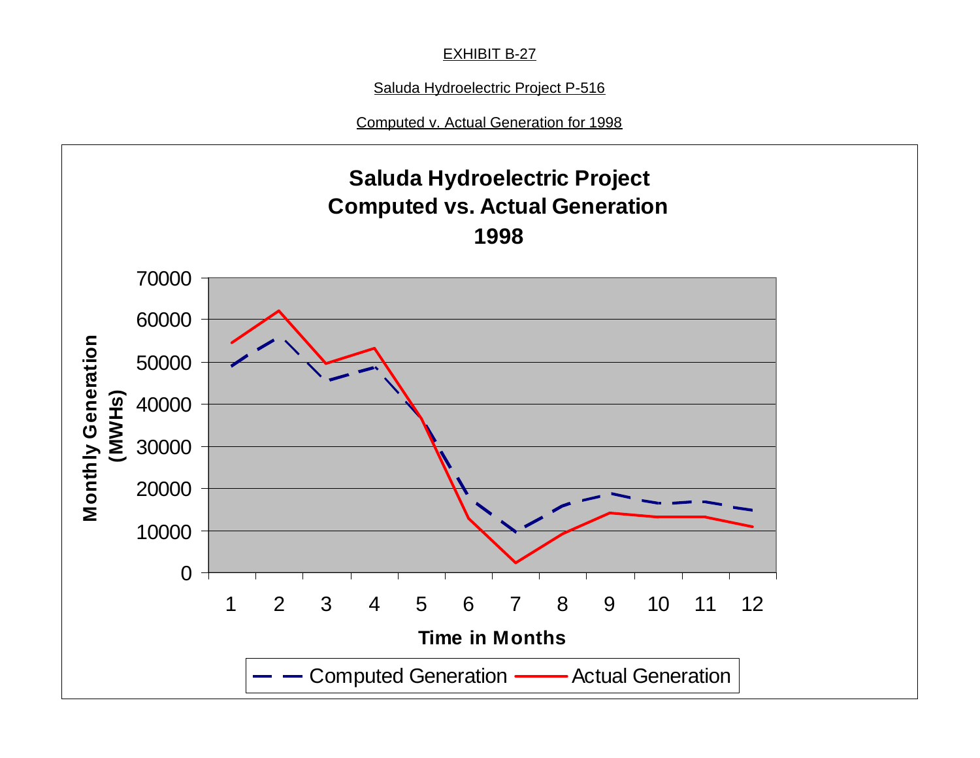Saluda Hydroelectric Project P-516

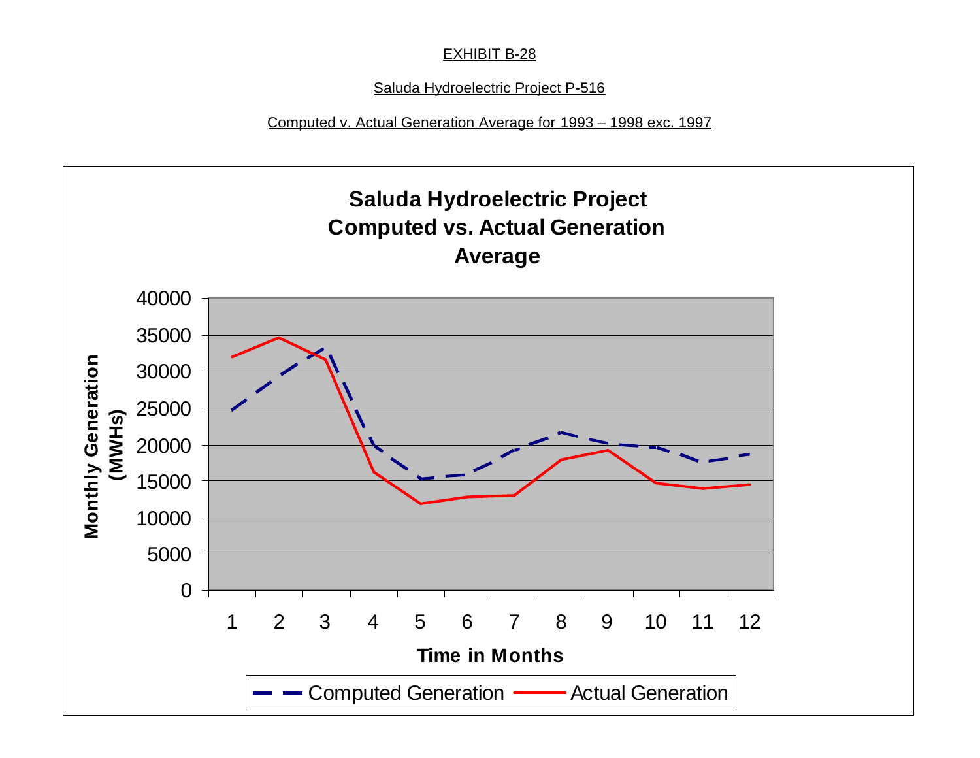Saluda Hydroelectric Project P-516

Computed v. Actual Generation Average for 1993 – 1998 exc. 1997